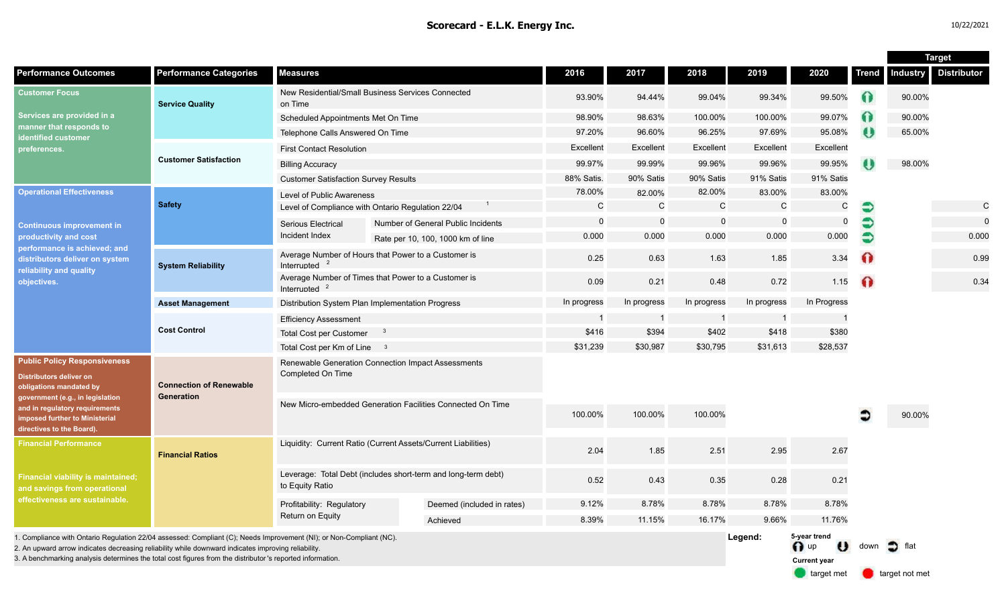|                                                                                                                                                                                                                                              |                                                     |                                                                                  |  |                                    |              |             |              |              |                                                       |              | <b>Target</b>     |                    |
|----------------------------------------------------------------------------------------------------------------------------------------------------------------------------------------------------------------------------------------------|-----------------------------------------------------|----------------------------------------------------------------------------------|--|------------------------------------|--------------|-------------|--------------|--------------|-------------------------------------------------------|--------------|-------------------|--------------------|
| <b>Performance Outcomes</b>                                                                                                                                                                                                                  | <b>Performance Categories</b>                       | <b>Measures</b>                                                                  |  |                                    | 2016         | 2017        | 2018         | 2019         | 2020                                                  | <b>Trend</b> | <b>Industry</b>   | <b>Distributor</b> |
| <b>Customer Focus</b><br>Services are provided in a<br>manner that responds to<br>identified customer<br>preferences.                                                                                                                        | <b>Service Quality</b>                              | New Residential/Small Business Services Connected<br>on Time                     |  | 93.90%                             | 94.44%       | 99.04%      | 99.34%       | 99.50%       | Ω                                                     | 90.00%       |                   |                    |
|                                                                                                                                                                                                                                              |                                                     | Scheduled Appointments Met On Time                                               |  |                                    | 98.90%       | 98.63%      | 100.00%      | 100.00%      | 99.07%                                                | 0            | 90.00%            |                    |
|                                                                                                                                                                                                                                              |                                                     | Telephone Calls Answered On Time                                                 |  | 97.20%                             | 96.60%       | 96.25%      | 97.69%       | 95.08%       | U                                                     | 65.00%       |                   |                    |
|                                                                                                                                                                                                                                              | <b>Customer Satisfaction</b>                        | <b>First Contact Resolution</b>                                                  |  |                                    | Excellent    | Excellent   | Excellent    | Excellent    | Excellent                                             |              |                   |                    |
|                                                                                                                                                                                                                                              |                                                     | <b>Billing Accuracy</b>                                                          |  |                                    | 99.97%       | 99.99%      | 99.96%       | 99.96%       | 99.95%                                                |              | 98.00%            |                    |
|                                                                                                                                                                                                                                              |                                                     | <b>Customer Satisfaction Survey Results</b>                                      |  | 88% Satis.                         | 90% Satis    | 90% Satis   | 91% Satis    | 91% Satis    |                                                       |              |                   |                    |
| <b>Operational Effectiveness</b><br><b>Continuous improvement in</b><br>productivity and cost<br>performance is achieved; and<br>distributors deliver on system<br>reliability and quality<br>objectives.                                    | <b>Safety</b>                                       | Level of Public Awareness                                                        |  |                                    | 78.00%       | 82.00%      | 82.00%       | 83.00%       | 83.00%                                                |              |                   |                    |
|                                                                                                                                                                                                                                              |                                                     | Level of Compliance with Ontario Regulation 22/04                                |  |                                    | $\mathsf{C}$ | $\mathbf C$ | $\mathsf{C}$ | $\mathsf{C}$ | C                                                     | €            |                   | $\mathsf{C}$       |
|                                                                                                                                                                                                                                              |                                                     | <b>Serious Electrical</b>                                                        |  | Number of General Public Incidents | $\Omega$     | $\mathbf 0$ | $\Omega$     | $\Omega$     | $\mathbf 0$                                           |              |                   | $\mathbf 0$        |
|                                                                                                                                                                                                                                              |                                                     | Incident Index                                                                   |  | Rate per 10, 100, 1000 km of line  | 0.000        | 0.000       | 0.000        | 0.000        | 0.000                                                 | Э            |                   | 0.000              |
|                                                                                                                                                                                                                                              | <b>System Reliability</b>                           | Average Number of Hours that Power to a Customer is<br>Interrupted               |  |                                    | 0.25         | 0.63        | 1.63         | 1.85         | 3.34                                                  | ⋒            |                   | 0.99               |
|                                                                                                                                                                                                                                              |                                                     | Average Number of Times that Power to a Customer is<br>Interrupted               |  |                                    | 0.09         | 0.21        | 0.48         | 0.72         | 1.15                                                  | $\bullet$    |                   | 0.34               |
|                                                                                                                                                                                                                                              | <b>Asset Management</b>                             | Distribution System Plan Implementation Progress                                 |  |                                    | In progress  | In progress | In progress  | In progress  | In Progress                                           |              |                   |                    |
|                                                                                                                                                                                                                                              | <b>Cost Control</b>                                 | <b>Efficiency Assessment</b>                                                     |  |                                    |              | -1          |              |              |                                                       |              |                   |                    |
|                                                                                                                                                                                                                                              |                                                     | <b>Total Cost per Customer</b>                                                   |  |                                    | \$416        | \$394       | \$402        | \$418        | \$380                                                 |              |                   |                    |
|                                                                                                                                                                                                                                              |                                                     | Total Cost per Km of Line 3                                                      |  |                                    | \$31,239     | \$30,987    | \$30,795     | \$31,613     | \$28,537                                              |              |                   |                    |
| <b>Public Policy Responsiveness</b><br><b>Distributors deliver on</b><br>obligations mandated by<br>government (e.g., in legislation<br>and in regulatory requirements<br><b>imposed further to Ministerial</b><br>directives to the Board). | <b>Connection of Renewable</b><br><b>Generation</b> | Renewable Generation Connection Impact Assessments<br>Completed On Time          |  |                                    |              |             |              |              |                                                       |              |                   |                    |
|                                                                                                                                                                                                                                              |                                                     | New Micro-embedded Generation Facilities Connected On Time                       |  |                                    | 100.00%      | 100.00%     | 100.00%      |              |                                                       |              | 90.00%            |                    |
| <b>Financial Performance</b><br><b>Financial viability is maintained;</b><br>and savings from operational<br>effectiveness are sustainable.                                                                                                  | <b>Financial Ratios</b>                             | Liquidity: Current Ratio (Current Assets/Current Liabilities)                    |  |                                    | 2.04         | 1.85        | 2.51         | 2.95         | 2.67                                                  |              |                   |                    |
|                                                                                                                                                                                                                                              |                                                     | Leverage: Total Debt (includes short-term and long-term debt)<br>to Equity Ratio |  |                                    | 0.52         | 0.43        | 0.35         | 0.28         | 0.21                                                  |              |                   |                    |
|                                                                                                                                                                                                                                              |                                                     | Profitability: Regulatory<br>Return on Equity                                    |  | Deemed (included in rates)         | 9.12%        | 8.78%       | 8.78%        | 8.78%        | 8.78%                                                 |              |                   |                    |
|                                                                                                                                                                                                                                              |                                                     |                                                                                  |  | Achieved                           | 8.39%        | 11.15%      | 16.17%       | 9.66%        | 11.76%                                                |              |                   |                    |
| 1. Compliance with Ontario Regulation 22/04 assessed: Compliant (C); Needs Improvement (NI); or Non-Compliant (NC).<br>2. An upward arrow indicates decreasing reliability while downward indicates improving reliability                    |                                                     |                                                                                  |  |                                    |              |             |              | Legend:      | 5-year trend<br>$\bigcap$ up<br>$\boldsymbol{\theta}$ | down         | $\bullet$<br>flat |                    |

3. A benchmarking analysis determines the total cost figures from the distributor 's reported information.

target met **target not met** 

**Current year**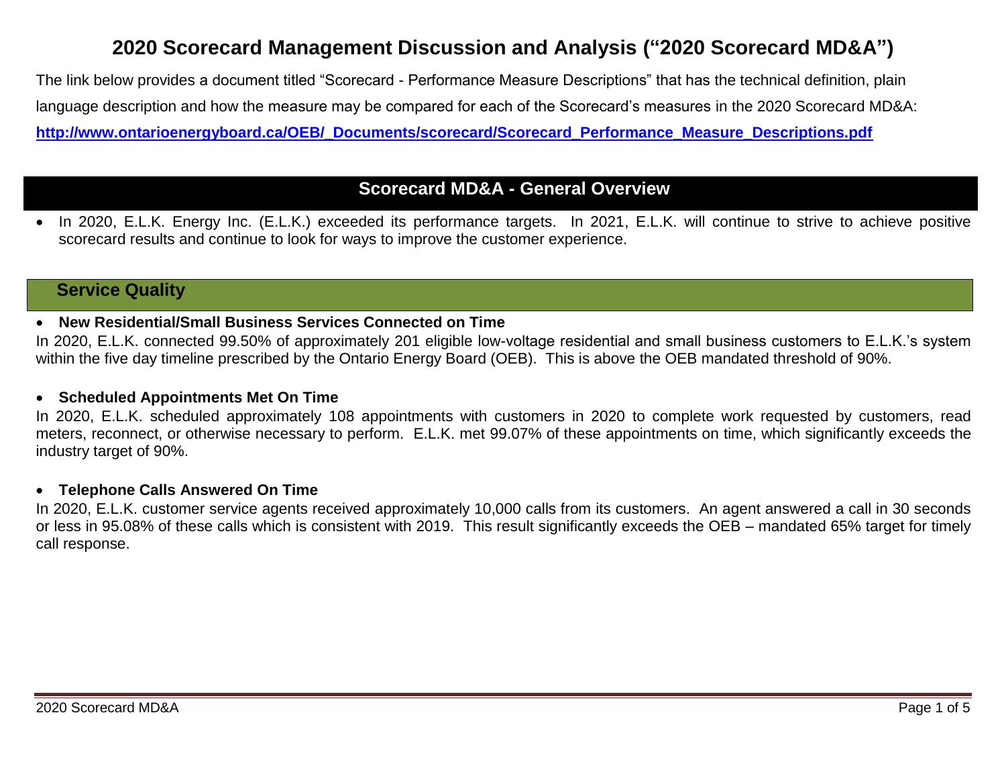# **2020 Scorecard Management Discussion and Analysis ("2020 Scorecard MD&A")**

The link below provides a document titled "Scorecard - Performance Measure Descriptions" that has the technical definition, plain language description and how the measure may be compared for each of the Scorecard's measures in the 2020 Scorecard MD&A: **[http://www.ontarioenergyboard.ca/OEB/\\_Documents/scorecard/Scorecard\\_Performance\\_Measure\\_Descriptions.pdf](http://www.ontarioenergyboard.ca/OEB/_Documents/scorecard/Scorecard_Performance_Measure_Descriptions.pdf)**

# **Scorecard MD&A - General Overview**

 In 2020, E.L.K. Energy Inc. (E.L.K.) exceeded its performance targets. In 2021, E.L.K. will continue to strive to achieve positive scorecard results and continue to look for ways to improve the customer experience.

### **Service Quality**

### **New Residential/Small Business Services Connected on Time**

In 2020, E.L.K. connected 99.50% of approximately 201 eligible low-voltage residential and small business customers to E.L.K.'s system within the five day timeline prescribed by the Ontario Energy Board (OEB). This is above the OEB mandated threshold of 90%.

### **Scheduled Appointments Met On Time**

In 2020, E.L.K. scheduled approximately 108 appointments with customers in 2020 to complete work requested by customers, read meters, reconnect, or otherwise necessary to perform. E.L.K. met 99.07% of these appointments on time, which significantly exceeds the industry target of 90%.

### **Telephone Calls Answered On Time**

In 2020, E.L.K. customer service agents received approximately 10,000 calls from its customers. An agent answered a call in 30 seconds or less in 95.08% of these calls which is consistent with 2019. This result significantly exceeds the OEB – mandated 65% target for timely call response.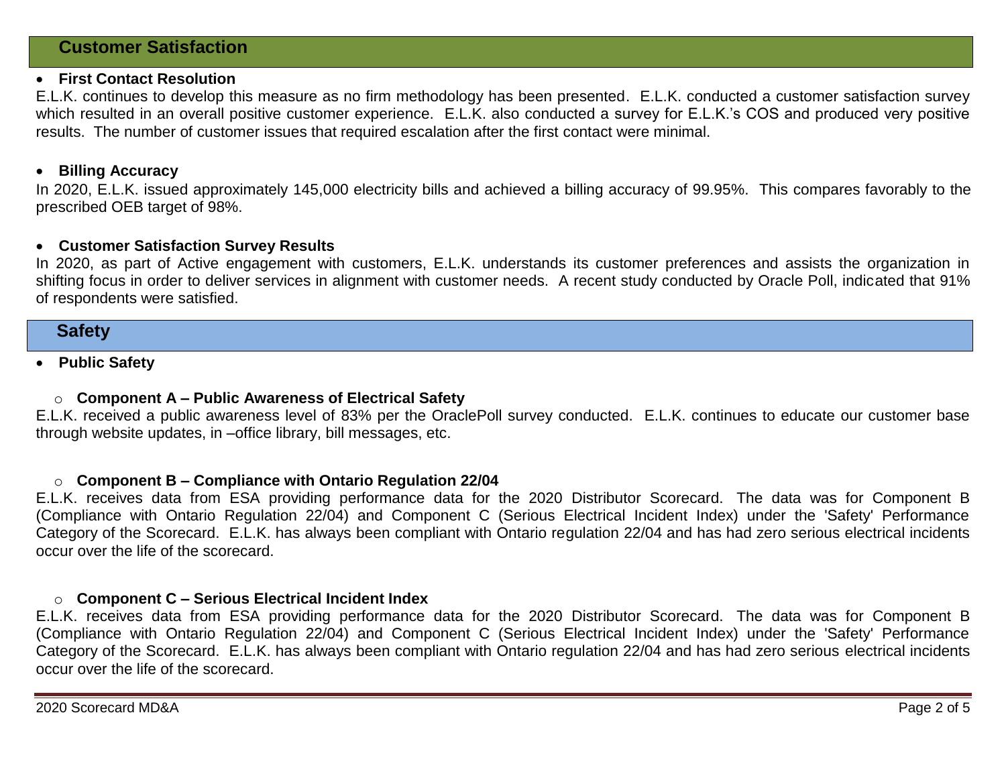### **Customer Satisfaction**

#### **First Contact Resolution**

E.L.K. continues to develop this measure as no firm methodology has been presented. E.L.K. conducted a customer satisfaction survey which resulted in an overall positive customer experience. E.L.K. also conducted a survey for E.L.K.'s COS and produced very positive results. The number of customer issues that required escalation after the first contact were minimal.

### **Billing Accuracy**

In 2020, E.L.K. issued approximately 145,000 electricity bills and achieved a billing accuracy of 99.95%. This compares favorably to the prescribed OEB target of 98%.

#### **Customer Satisfaction Survey Results**

In 2020, as part of Active engagement with customers, E.L.K. understands its customer preferences and assists the organization in shifting focus in order to deliver services in alignment with customer needs. A recent study conducted by Oracle Poll, indicated that 91% of respondents were satisfied.

### **Safety**

### **Public Safety**

#### o **Component A – Public Awareness of Electrical Safety**

E.L.K. received a public awareness level of 83% per the OraclePoll survey conducted. E.L.K. continues to educate our customer base through website updates, in –office library, bill messages, etc.

#### o **Component B – Compliance with Ontario Regulation 22/04**

E.L.K. receives data from ESA providing performance data for the 2020 Distributor Scorecard. The data was for Component B (Compliance with Ontario Regulation 22/04) and Component C (Serious Electrical Incident Index) under the 'Safety' Performance Category of the Scorecard. E.L.K. has always been compliant with Ontario regulation 22/04 and has had zero serious electrical incidents occur over the life of the scorecard.

#### o **Component C – Serious Electrical Incident Index**

E.L.K. receives data from ESA providing performance data for the 2020 Distributor Scorecard. The data was for Component B (Compliance with Ontario Regulation 22/04) and Component C (Serious Electrical Incident Index) under the 'Safety' Performance Category of the Scorecard. E.L.K. has always been compliant with Ontario regulation 22/04 and has had zero serious electrical incidents occur over the life of the scorecard.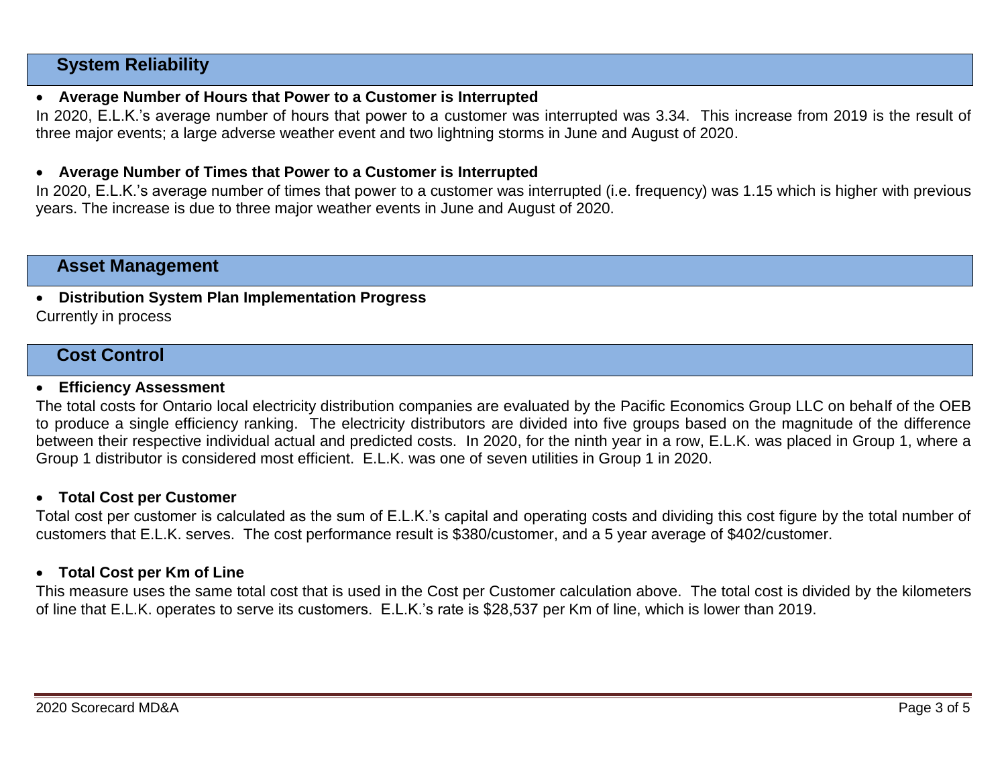## **System Reliability**

### **Average Number of Hours that Power to a Customer is Interrupted**

In 2020, E.L.K.'s average number of hours that power to a customer was interrupted was 3.34. This increase from 2019 is the result of three major events; a large adverse weather event and two lightning storms in June and August of 2020.

### **Average Number of Times that Power to a Customer is Interrupted**

In 2020, E.L.K.'s average number of times that power to a customer was interrupted (i.e. frequency) was 1.15 which is higher with previous years. The increase is due to three major weather events in June and August of 2020.

### **Asset Management**

**Distribution System Plan Implementation Progress**

Currently in process

### **Cost Control**

#### **Efficiency Assessment**

The total costs for Ontario local electricity distribution companies are evaluated by the Pacific Economics Group LLC on behalf of the OEB to produce a single efficiency ranking. The electricity distributors are divided into five groups based on the magnitude of the difference between their respective individual actual and predicted costs. In 2020, for the ninth year in a row, E.L.K. was placed in Group 1, where a Group 1 distributor is considered most efficient. E.L.K. was one of seven utilities in Group 1 in 2020.

### **Total Cost per Customer**

Total cost per customer is calculated as the sum of E.L.K.'s capital and operating costs and dividing this cost figure by the total number of customers that E.L.K. serves. The cost performance result is \$380/customer, and a 5 year average of \$402/customer.

### **Total Cost per Km of Line**

This measure uses the same total cost that is used in the Cost per Customer calculation above. The total cost is divided by the kilometers of line that E.L.K. operates to serve its customers. E.L.K.'s rate is \$28,537 per Km of line, which is lower than 2019.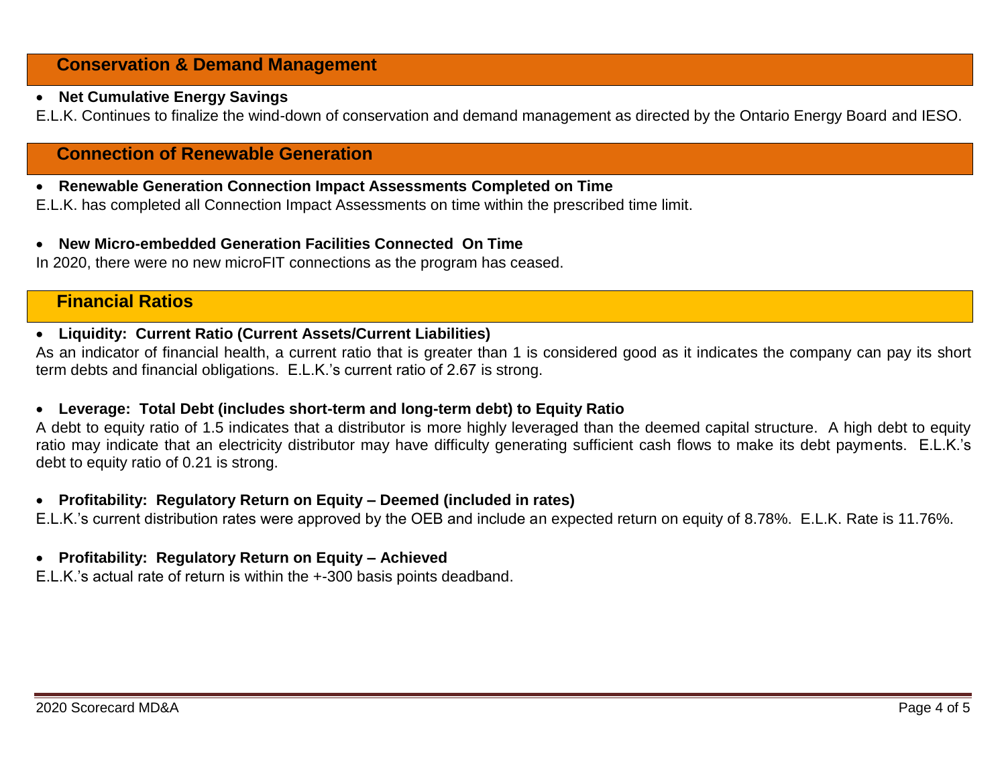# **Conservation & Demand Management**

### **Net Cumulative Energy Savings**

E.L.K. Continues to finalize the wind-down of conservation and demand management as directed by the Ontario Energy Board and IESO.

# **Connection of Renewable Generation**

**Renewable Generation Connection Impact Assessments Completed on Time**

E.L.K. has completed all Connection Impact Assessments on time within the prescribed time limit.

### **New Micro-embedded Generation Facilities Connected On Time**

In 2020, there were no new microFIT connections as the program has ceased.

### **Financial Ratios**

### **Liquidity: Current Ratio (Current Assets/Current Liabilities)**

As an indicator of financial health, a current ratio that is greater than 1 is considered good as it indicates the company can pay its short term debts and financial obligations. E.L.K.'s current ratio of 2.67 is strong.

### **Leverage: Total Debt (includes short-term and long-term debt) to Equity Ratio**

A debt to equity ratio of 1.5 indicates that a distributor is more highly leveraged than the deemed capital structure. A high debt to equity ratio may indicate that an electricity distributor may have difficulty generating sufficient cash flows to make its debt payments. E.L.K.'s debt to equity ratio of 0.21 is strong.

### **Profitability: Regulatory Return on Equity – Deemed (included in rates)**

E.L.K.'s current distribution rates were approved by the OEB and include an expected return on equity of 8.78%. E.L.K. Rate is 11.76%.

### **Profitability: Regulatory Return on Equity – Achieved**

E.L.K.'s actual rate of return is within the +-300 basis points deadband.